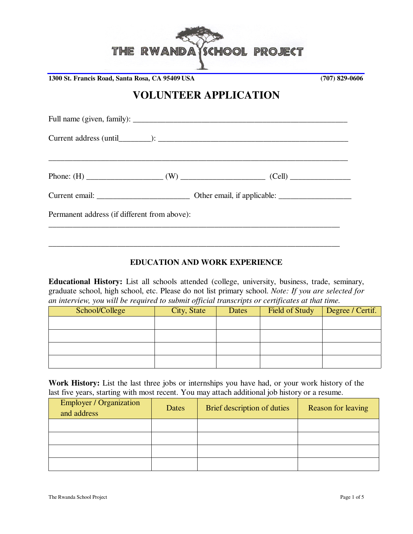

**1300 St. Francis Road, Santa Rosa, CA 95409 USA (707) 829-0606**

# **VOLUNTEER APPLICATION**

| Permanent address (if different from above): |  |
|----------------------------------------------|--|
|                                              |  |
|                                              |  |

### **EDUCATION AND WORK EXPERIENCE**

**Educational History:** List all schools attended (college, university, business, trade, seminary, graduate school, high school, etc. Please do not list primary school. *Note: If you are selected for an interview, you will be required to submit official transcripts or certificates at that time.*

| School/College | City, State | Dates | Field of Study | Degree / Certif. |
|----------------|-------------|-------|----------------|------------------|
|                |             |       |                |                  |
|                |             |       |                |                  |
|                |             |       |                |                  |
|                |             |       |                |                  |

**Work History:** List the last three jobs or internships you have had, or your work history of the last five years, starting with most recent. You may attach additional job history or a resume.

| <b>Employer / Organization</b><br>and address | Dates | Brief description of duties | Reason for leaving |
|-----------------------------------------------|-------|-----------------------------|--------------------|
|                                               |       |                             |                    |
|                                               |       |                             |                    |
|                                               |       |                             |                    |
|                                               |       |                             |                    |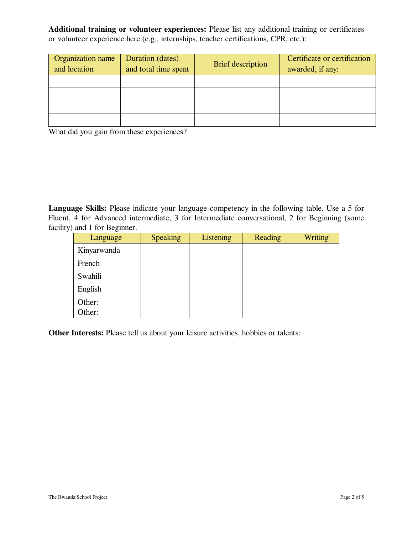**Additional training or volunteer experiences:** Please list any additional training or certificates or volunteer experience here (e.g., internships, teacher certifications, CPR, etc.):

| Organization name<br>and location | Duration (dates)<br>and total time spent | <b>Brief</b> description | Certificate or certification<br>awarded, if any: |
|-----------------------------------|------------------------------------------|--------------------------|--------------------------------------------------|
|                                   |                                          |                          |                                                  |
|                                   |                                          |                          |                                                  |
|                                   |                                          |                          |                                                  |
|                                   |                                          |                          |                                                  |

What did you gain from these experiences?

Language Skills: Please indicate your language competency in the following table. Use a 5 for Fluent, 4 for Advanced intermediate, 3 for Intermediate conversational, 2 for Beginning (some facility) and 1 for Beginner.

| Language    | <b>Speaking</b> | <b>Listening</b> | Reading | <b>Writing</b> |
|-------------|-----------------|------------------|---------|----------------|
| Kinyarwanda |                 |                  |         |                |
| French      |                 |                  |         |                |
| Swahili     |                 |                  |         |                |
| English     |                 |                  |         |                |
| Other:      |                 |                  |         |                |
| Other:      |                 |                  |         |                |

**Other Interests:** Please tell us about your leisure activities, hobbies or talents: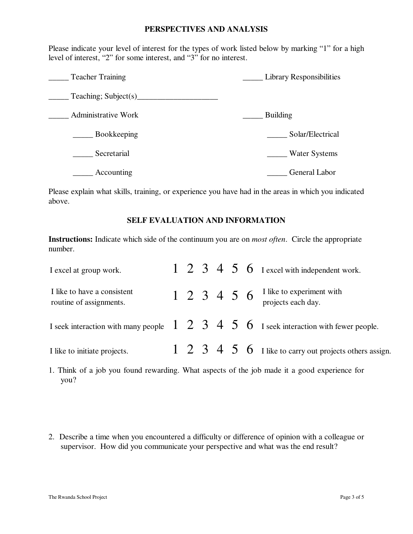#### **PERSPECTIVES AND ANALYSIS**

Please indicate your level of interest for the types of work listed below by marking "1" for a high level of interest, "2" for some interest, and "3" for no interest.

| <b>Teacher Training</b>    | <b>Library Responsibilities</b> |
|----------------------------|---------------------------------|
| Teaching; Subject(s)       |                                 |
| <b>Administrative Work</b> | <b>Building</b>                 |
| Bookkeeping                | Solar/Electrical                |
| Secretarial                | <b>Water Systems</b>            |
| Accounting                 | General Labor                   |

Please explain what skills, training, or experience you have had in the areas in which you indicated above.

#### **SELF EVALUATION AND INFORMATION**

**Instructions:** Indicate which side of the continuum you are on *most often*. Circle the appropriate number.

| I excel at group work.                                 |  |  |  | $1\ 2\ 3\ 4\ 5\ 6\$ I excel with independent work.                                                                               |
|--------------------------------------------------------|--|--|--|----------------------------------------------------------------------------------------------------------------------------------|
| I like to have a consistent<br>routine of assignments. |  |  |  | 1 2 3 4 5 6 I like to experiment with<br>projects each day.                                                                      |
|                                                        |  |  |  | I seek interaction with many people $\begin{array}{ccc} 1 & 2 & 3 & 4 & 5 & 6 \end{array}$ I seek interaction with fewer people. |
| I like to initiate projects.                           |  |  |  | $\begin{array}{cccc} 1 & 2 & 3 & 4 & 5 & 6 \end{array}$ I like to carry out projects others assign.                              |

1. Think of a job you found rewarding. What aspects of the job made it a good experience for you?

2. Describe a time when you encountered a difficulty or difference of opinion with a colleague or supervisor. How did you communicate your perspective and what was the end result?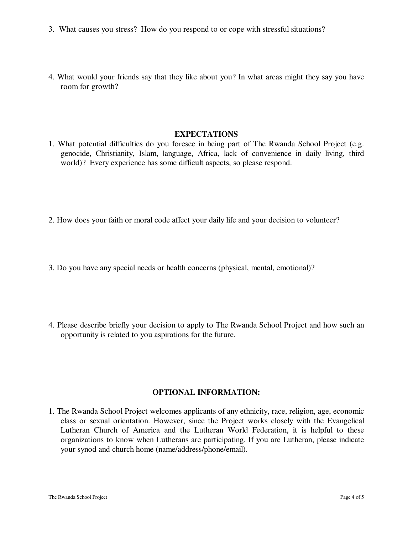- 3. What causes you stress? How do you respond to or cope with stressful situations?
- 4. What would your friends say that they like about you? In what areas might they say you have room for growth?

#### **EXPECTATIONS**

- 1. What potential difficulties do you foresee in being part of The Rwanda School Project (e.g. genocide, Christianity, Islam, language, Africa, lack of convenience in daily living, third world)? Every experience has some difficult aspects, so please respond.
- 2. How does your faith or moral code affect your daily life and your decision to volunteer?
- 3. Do you have any special needs or health concerns (physical, mental, emotional)?
- 4. Please describe briefly your decision to apply to The Rwanda School Project and how such an opportunity is related to you aspirations for the future.

#### **OPTIONAL INFORMATION:**

1. The Rwanda School Project welcomes applicants of any ethnicity, race, religion, age, economic class or sexual orientation. However, since the Project works closely with the Evangelical Lutheran Church of America and the Lutheran World Federation, it is helpful to these organizations to know when Lutherans are participating. If you are Lutheran, please indicate your synod and church home (name/address/phone/email).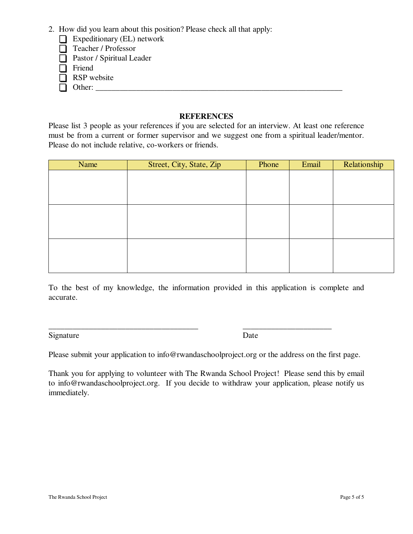- 2. How did you learn about this position? Please check all that apply:
	- Expeditionary (EL) network
	- $\Box$  Teacher / Professor
	- $\Box$  Pastor / Spiritual Leader
	- $\Box$  Friend
	- $\Box$  RSP website
	- Other: \_\_\_\_\_\_\_\_\_\_\_\_\_\_\_\_\_\_\_\_\_\_\_\_\_\_\_\_\_\_\_\_\_\_\_\_\_\_\_\_\_\_\_\_\_\_\_\_\_\_\_\_\_\_\_\_\_\_\_\_\_ ú

## **REFERENCES**

Please list 3 people as your references if you are selected for an interview. At least one reference must be from a current or former supervisor and we suggest one from a spiritual leader/mentor. Please do not include relative, co-workers or friends.

| Name | Street, City, State, Zip | Phone | Email | Relationship |
|------|--------------------------|-------|-------|--------------|
|      |                          |       |       |              |
|      |                          |       |       |              |
|      |                          |       |       |              |
|      |                          |       |       |              |
|      |                          |       |       |              |
|      |                          |       |       |              |
|      |                          |       |       |              |
|      |                          |       |       |              |
|      |                          |       |       |              |

To the best of my knowledge, the information provided in this application is complete and accurate.

Signature Date

\_\_\_\_\_\_\_\_\_\_\_\_\_\_\_\_\_\_\_\_\_\_\_\_\_\_\_\_\_\_\_\_\_\_\_\_\_ \_\_\_\_\_\_\_\_\_\_\_\_\_\_\_\_\_\_\_\_\_\_

Please submit your application to info@rwandaschoolproject.org or the address on the first page.

Thank you for applying to volunteer with The Rwanda School Project! Please send this by email to info@rwandaschoolproject.org. If you decide to withdraw your application, please notify us immediately.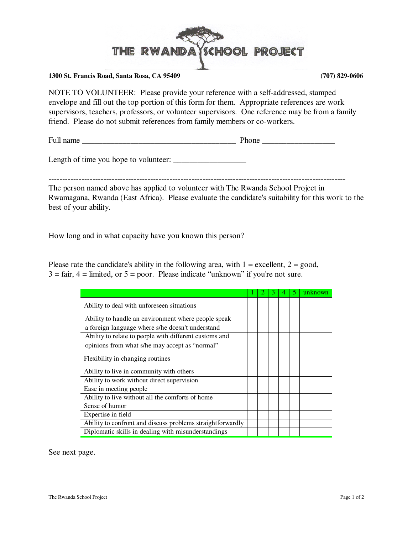

#### **1300 St. Francis Road, Santa Rosa, CA 95409 (707) 829-0606**

NOTE TO VOLUNTEER: Please provide your reference with a self-addressed, stamped envelope and fill out the top portion of this form for them. Appropriate references are work supervisors, teachers, professors, or volunteer supervisors. One reference may be from a family friend. Please do not submit references from family members or co-workers.

Full name \_\_\_\_\_\_\_\_\_\_\_\_\_\_\_\_\_\_\_\_\_\_\_\_\_\_\_\_\_\_\_\_\_\_\_\_\_\_ Phone \_\_\_\_\_\_\_\_\_\_\_\_\_\_\_\_\_\_

Length of time you hope to volunteer:

------------------------------------------------------------------------------------------------------------

The person named above has applied to volunteer with The Rwanda School Project in Rwamagana, Rwanda (East Africa). Please evaluate the candidate's suitability for this work to the best of your ability.

How long and in what capacity have you known this person?

Please rate the candidate's ability in the following area, with  $1 =$  excellent,  $2 =$  good,  $3 = \text{fair}$ ,  $4 = \text{limited}$ , or  $5 = \text{poor}$ . Please indicate "unknown" if you're not sure.

|                                                            |  |  | unknown |
|------------------------------------------------------------|--|--|---------|
| Ability to deal with unforeseen situations                 |  |  |         |
| Ability to handle an environment where people speak        |  |  |         |
| a foreign language where s/he doesn't understand           |  |  |         |
| Ability to relate to people with different customs and     |  |  |         |
| opinions from what s/he may accept as "normal"             |  |  |         |
| Flexibility in changing routines                           |  |  |         |
| Ability to live in community with others                   |  |  |         |
| Ability to work without direct supervision                 |  |  |         |
| Ease in meeting people                                     |  |  |         |
| Ability to live without all the comforts of home           |  |  |         |
| Sense of humor                                             |  |  |         |
| Expertise in field                                         |  |  |         |
| Ability to confront and discuss problems straightforwardly |  |  |         |
| Diplomatic skills in dealing with misunderstandings        |  |  |         |

See next page.